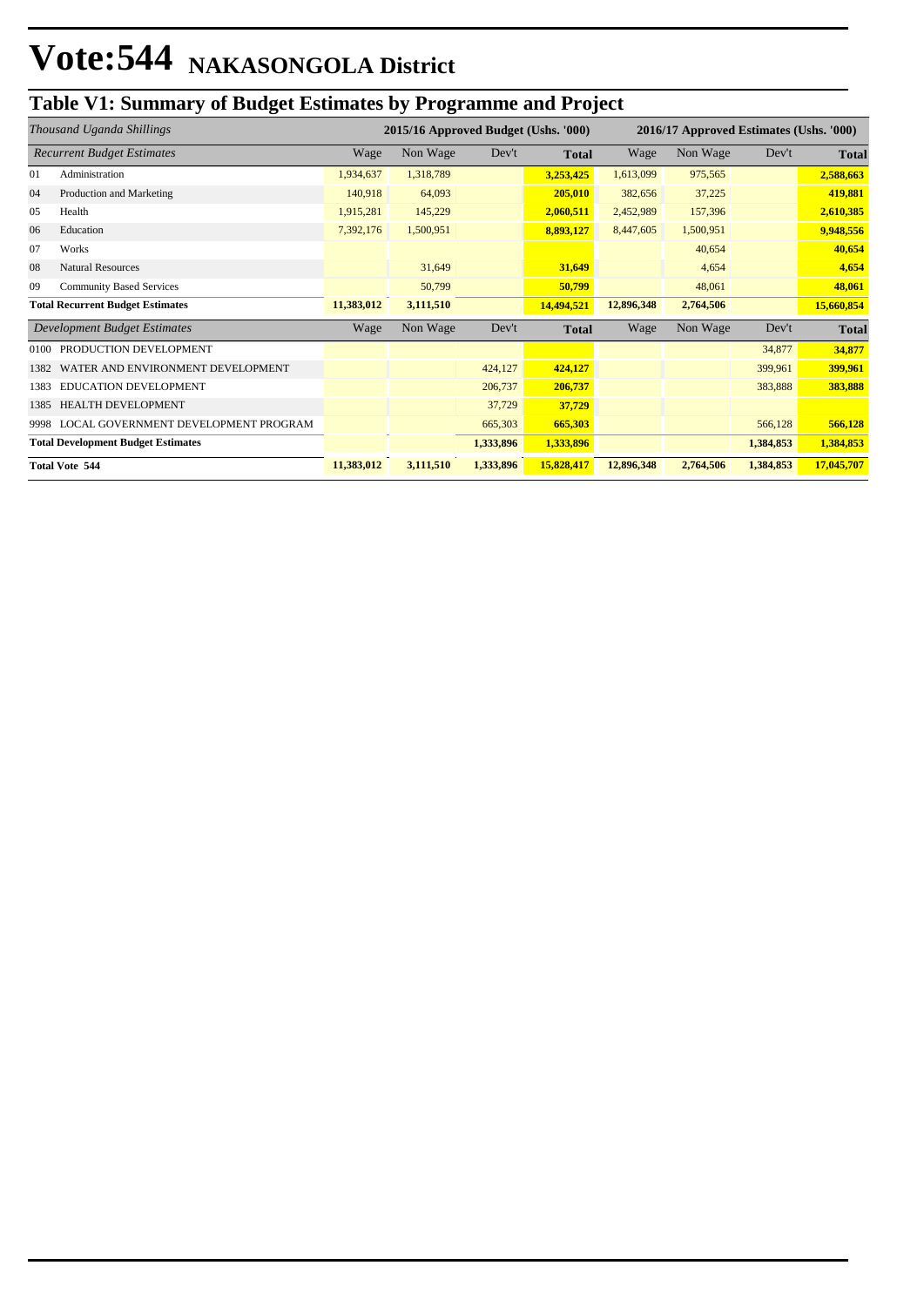### **Table V1: Summary of Budget Estimates by Programme and Project**

|                                           | Thousand Uganda Shillings<br>2015/16 Approved Budget (Ushs. '000)<br>2016/17 Approved Estimates (Ushs. '000) |            |           |           |              |            |           |           |              |
|-------------------------------------------|--------------------------------------------------------------------------------------------------------------|------------|-----------|-----------|--------------|------------|-----------|-----------|--------------|
|                                           | <b>Recurrent Budget Estimates</b>                                                                            | Wage       | Non Wage  | Dev't     | <b>Total</b> | Wage       | Non Wage  | Dev't     | <b>Total</b> |
| 01                                        | Administration                                                                                               | 1,934,637  | 1,318,789 |           | 3,253,425    | 1,613,099  | 975,565   |           | 2,588,663    |
| 04                                        | Production and Marketing                                                                                     | 140,918    | 64,093    |           | 205,010      | 382,656    | 37,225    |           | 419,881      |
| 05                                        | Health                                                                                                       | 1,915,281  | 145,229   |           | 2,060,511    | 2,452,989  | 157,396   |           | 2,610,385    |
| 06                                        | Education                                                                                                    | 7,392,176  | 1,500,951 |           | 8,893,127    | 8,447,605  | 1,500,951 |           | 9,948,556    |
| 07                                        | Works                                                                                                        |            |           |           |              |            | 40,654    |           | 40,654       |
| 08                                        | <b>Natural Resources</b>                                                                                     |            | 31,649    |           | 31,649       |            | 4,654     |           | 4,654        |
| 09                                        | <b>Community Based Services</b>                                                                              |            | 50,799    |           | 50,799       |            | 48,061    |           | 48,061       |
| <b>Total Recurrent Budget Estimates</b>   |                                                                                                              | 11,383,012 | 3,111,510 |           | 14,494,521   | 12,896,348 | 2,764,506 |           | 15,660,854   |
|                                           | Development Budget Estimates                                                                                 | Wage       | Non Wage  | Dev't     | <b>Total</b> | Wage       | Non Wage  | Dev't     | <b>Total</b> |
| 0100                                      | PRODUCTION DEVELOPMENT                                                                                       |            |           |           |              |            |           | 34,877    | 34,877       |
| 1382                                      | WATER AND ENVIRONMENT DEVELOPMENT                                                                            |            |           | 424,127   | 424,127      |            |           | 399,961   | 399,961      |
| 1383                                      | <b>EDUCATION DEVELOPMENT</b>                                                                                 |            |           | 206,737   | 206,737      |            |           | 383,888   | 383,888      |
| 1385                                      | HEALTH DEVELOPMENT                                                                                           |            |           | 37,729    | 37,729       |            |           |           |              |
| 9998                                      | LOCAL GOVERNMENT DEVELOPMENT PROGRAM                                                                         |            |           | 665,303   | 665,303      |            |           | 566,128   | 566,128      |
| <b>Total Development Budget Estimates</b> |                                                                                                              |            |           | 1,333,896 | 1,333,896    |            |           | 1,384,853 | 1,384,853    |
|                                           | <b>Total Vote 544</b>                                                                                        | 11,383,012 | 3,111,510 | 1,333,896 | 15,828,417   | 12,896,348 | 2,764,506 | 1,384,853 | 17,045,707   |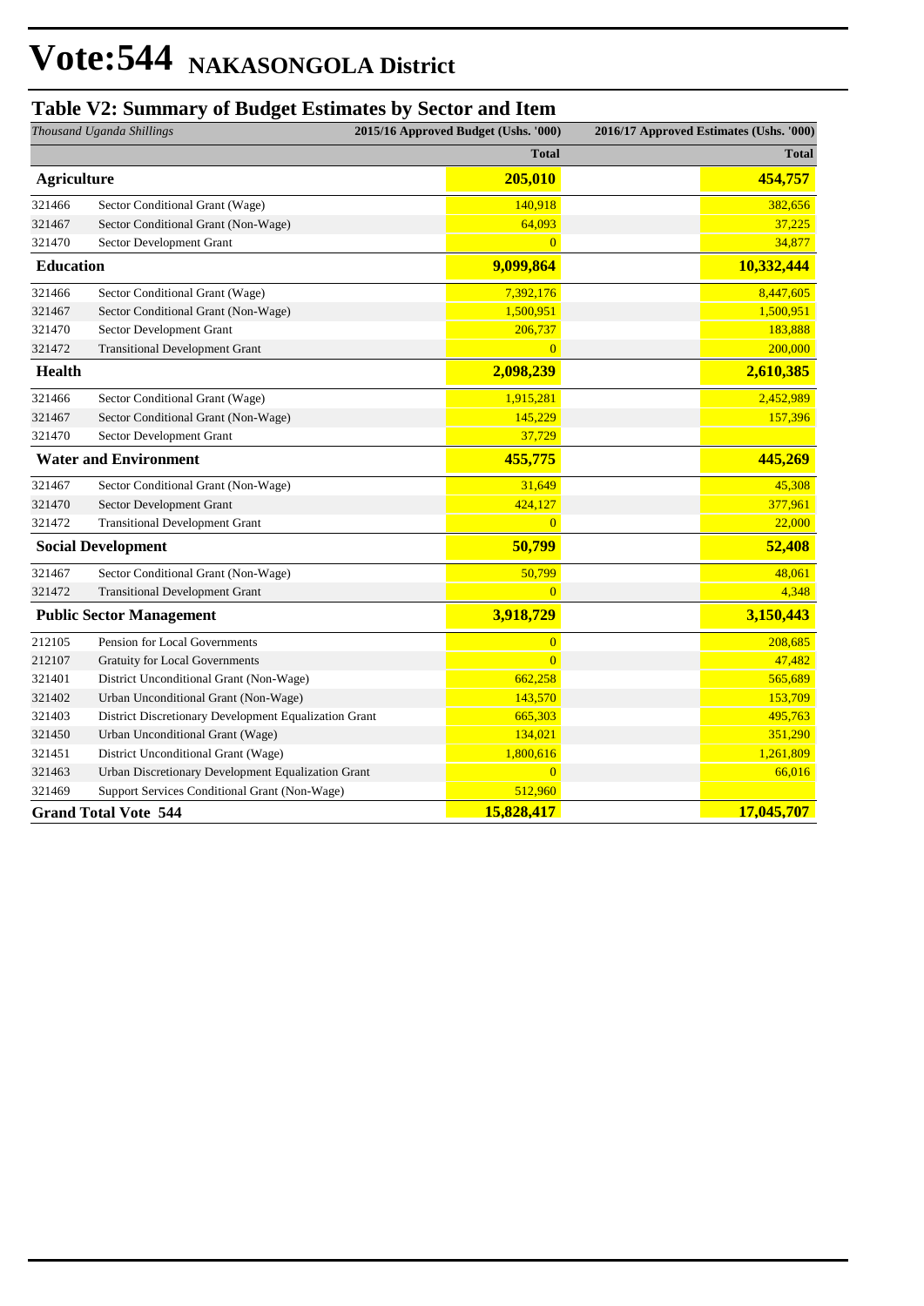#### **Table V2: Summary of Budget Estimates by Sector and Item**

| Thousand Uganda Shillings   |                                                       | 2015/16 Approved Budget (Ushs. '000) | 2016/17 Approved Estimates (Ushs. '000) |              |
|-----------------------------|-------------------------------------------------------|--------------------------------------|-----------------------------------------|--------------|
|                             |                                                       | <b>Total</b>                         |                                         | <b>Total</b> |
| <b>Agriculture</b>          |                                                       | 205,010                              |                                         | 454,757      |
| 321466                      | Sector Conditional Grant (Wage)                       | 140,918                              |                                         | 382,656      |
| 321467                      | Sector Conditional Grant (Non-Wage)                   | 64,093                               |                                         | 37,225       |
| 321470                      | Sector Development Grant                              | $\overline{0}$                       |                                         | 34,877       |
| <b>Education</b>            |                                                       | 9,099,864                            |                                         | 10,332,444   |
| 321466                      | Sector Conditional Grant (Wage)                       | 7,392,176                            |                                         | 8,447,605    |
| 321467                      | Sector Conditional Grant (Non-Wage)                   | 1,500,951                            |                                         | 1,500,951    |
| 321470                      | Sector Development Grant                              | 206,737                              |                                         | 183,888      |
| 321472                      | <b>Transitional Development Grant</b>                 | $\overline{0}$                       |                                         | 200,000      |
| Health                      |                                                       | 2,098,239                            |                                         | 2,610,385    |
| 321466                      | Sector Conditional Grant (Wage)                       | 1,915,281                            |                                         | 2,452,989    |
| 321467                      | Sector Conditional Grant (Non-Wage)                   | 145,229                              |                                         | 157,396      |
| 321470                      | Sector Development Grant                              | 37,729                               |                                         |              |
|                             | <b>Water and Environment</b>                          | 455,775                              |                                         | 445,269      |
| 321467                      | Sector Conditional Grant (Non-Wage)                   | 31,649                               |                                         | 45,308       |
| 321470                      | Sector Development Grant                              | 424,127                              |                                         | 377,961      |
| 321472                      | <b>Transitional Development Grant</b>                 | $\overline{0}$                       |                                         | 22,000       |
|                             | <b>Social Development</b>                             | 50,799                               |                                         | 52,408       |
| 321467                      | Sector Conditional Grant (Non-Wage)                   | 50,799                               |                                         | 48,061       |
| 321472                      | <b>Transitional Development Grant</b>                 | $\overline{0}$                       |                                         | 4,348        |
|                             | <b>Public Sector Management</b>                       | 3,918,729                            |                                         | 3,150,443    |
| 212105                      | Pension for Local Governments                         | $\overline{0}$                       |                                         | 208,685      |
| 212107                      | <b>Gratuity for Local Governments</b>                 | $\overline{0}$                       |                                         | 47,482       |
| 321401                      | District Unconditional Grant (Non-Wage)               | 662,258                              |                                         | 565,689      |
| 321402                      | Urban Unconditional Grant (Non-Wage)                  | 143,570                              |                                         | 153,709      |
| 321403                      | District Discretionary Development Equalization Grant | 665,303                              |                                         | 495,763      |
| 321450                      | Urban Unconditional Grant (Wage)                      | 134,021                              |                                         | 351,290      |
| 321451                      | District Unconditional Grant (Wage)                   | 1,800,616                            |                                         | 1,261,809    |
| 321463                      | Urban Discretionary Development Equalization Grant    | $\overline{0}$                       |                                         | 66,016       |
| 321469                      | Support Services Conditional Grant (Non-Wage)         | 512,960                              |                                         |              |
| <b>Grand Total Vote 544</b> |                                                       | 15,828,417                           |                                         | 17,045,707   |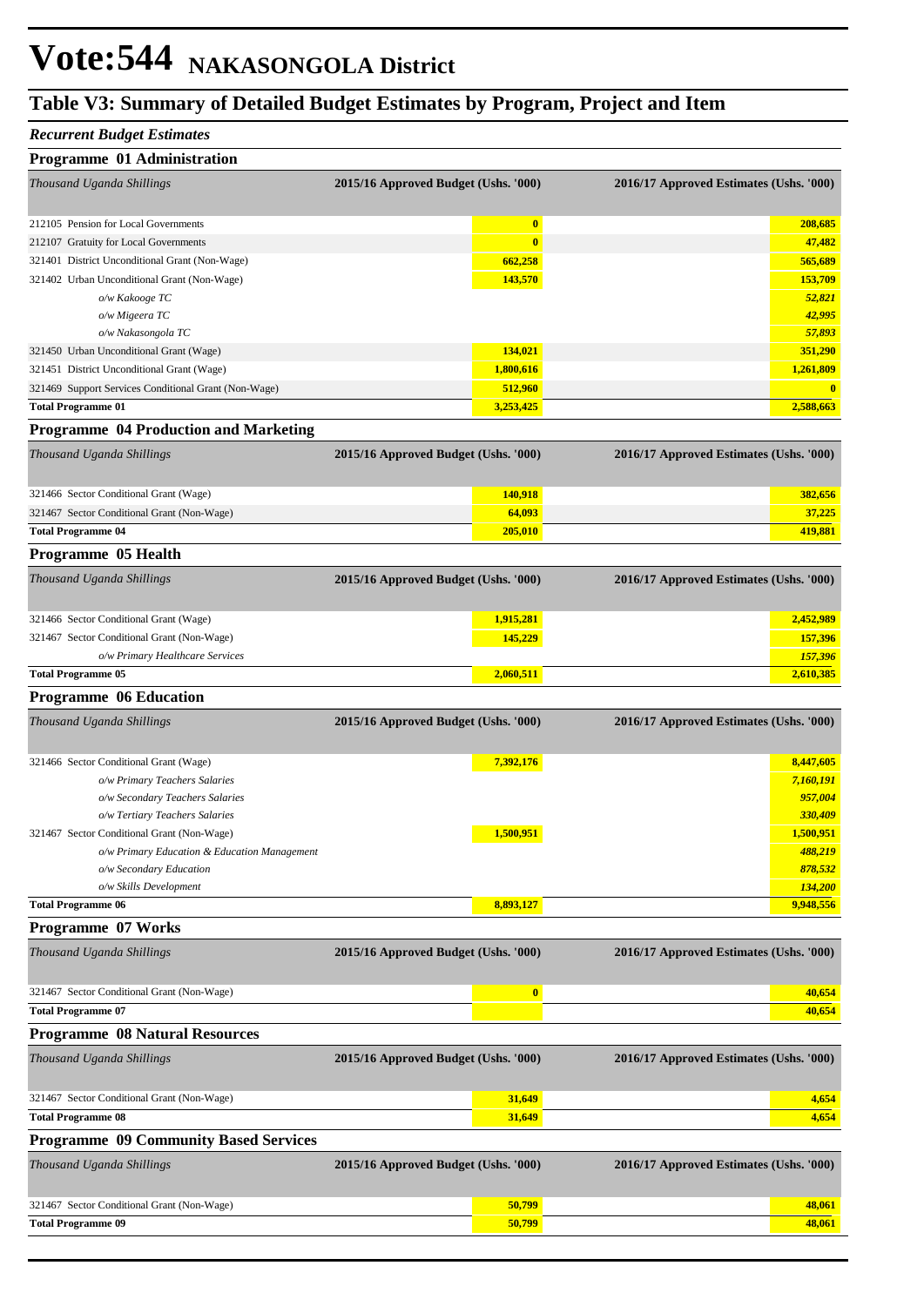#### **Table V3: Summary of Detailed Budget Estimates by Program, Project and Item**

#### *Recurrent Budget Estimates*

| Programme 01 Administration                          |                                      |                                         |
|------------------------------------------------------|--------------------------------------|-----------------------------------------|
| Thousand Uganda Shillings                            | 2015/16 Approved Budget (Ushs. '000) | 2016/17 Approved Estimates (Ushs. '000) |
| 212105 Pension for Local Governments                 | $\mathbf{0}$                         | 208,685                                 |
| 212107 Gratuity for Local Governments                | $\overline{\mathbf{0}}$              | 47,482                                  |
| 321401 District Unconditional Grant (Non-Wage)       | 662,258                              | 565,689                                 |
| 321402 Urban Unconditional Grant (Non-Wage)          | 143,570                              | 153,709                                 |
| o/w Kakooge TC                                       |                                      | 52,821                                  |
| o/w Migeera TC                                       |                                      | 42,995                                  |
| o/w Nakasongola TC                                   |                                      | 57,893                                  |
| 321450 Urban Unconditional Grant (Wage)              | 134,021                              | 351,290                                 |
| 321451 District Unconditional Grant (Wage)           | 1,800,616                            | 1,261,809                               |
| 321469 Support Services Conditional Grant (Non-Wage) | 512,960                              | $\bf{0}$                                |
| <b>Total Programme 01</b>                            | 3,253,425                            | 2,588,663                               |
| <b>Programme 04 Production and Marketing</b>         |                                      |                                         |
| Thousand Uganda Shillings                            | 2015/16 Approved Budget (Ushs. '000) | 2016/17 Approved Estimates (Ushs. '000) |
| 321466 Sector Conditional Grant (Wage)               | 140,918                              | 382,656                                 |
| 321467 Sector Conditional Grant (Non-Wage)           | 64,093                               | 37,225                                  |
| <b>Total Programme 04</b>                            | 205,010                              | 419,881                                 |
| Programme 05 Health                                  |                                      |                                         |
| Thousand Uganda Shillings                            | 2015/16 Approved Budget (Ushs. '000) | 2016/17 Approved Estimates (Ushs. '000) |
| 321466 Sector Conditional Grant (Wage)               | 1,915,281                            | 2,452,989                               |
| 321467 Sector Conditional Grant (Non-Wage)           | 145,229                              | 157,396                                 |
| o/w Primary Healthcare Services                      |                                      | 157,396                                 |
| <b>Total Programme 05</b>                            | 2,060,511                            | 2,610,385                               |
| <b>Programme 06 Education</b>                        |                                      |                                         |
| Thousand Uganda Shillings                            | 2015/16 Approved Budget (Ushs. '000) | 2016/17 Approved Estimates (Ushs. '000) |
| 321466 Sector Conditional Grant (Wage)               | 7,392,176                            | 8,447,605                               |
| o/w Primary Teachers Salaries                        |                                      | 7,160,191                               |

| <b>Total Programme 06</b> |                                              | 8,893,127 | 9,948,556 |
|---------------------------|----------------------------------------------|-----------|-----------|
|                           | o/w Skills Development                       |           | 134,200   |
|                           | o/w Secondary Education                      |           | 878,532   |
|                           | o/w Primary Education & Education Management |           | 488,219   |
|                           | 321467 Sector Conditional Grant (Non-Wage)   | 1,500,951 | 1,500,951 |
|                           | o/w Tertiary Teachers Salaries               |           | 330,409   |
|                           | o/w Secondary Teachers Salaries              |           | 957,004   |
|                           | <i><b>O/W Frimary Leachers Salaries</b></i>  |           | 7,100,191 |

**Programme 07 Works**

| Thousand Uganda Shillings                  | 2015/16 Approved Budget (Ushs. '000) | 2016/17 Approved Estimates (Ushs. '000) |
|--------------------------------------------|--------------------------------------|-----------------------------------------|
| 321467 Sector Conditional Grant (Non-Wage) |                                      | 40.654                                  |
| <b>Total Programme 07</b>                  |                                      | 40.654                                  |

**Programme 08 Natural Resources**

| Thousand Uganda Shillings                    | 2015/16 Approved Budget (Ushs. '000) |        | 2016/17 Approved Estimates (Ushs. '000) |        |  |
|----------------------------------------------|--------------------------------------|--------|-----------------------------------------|--------|--|
| 321467 Sector Conditional Grant (Non-Wage)   |                                      | 31,649 |                                         | 4,654  |  |
| <b>Total Programme 08</b>                    |                                      | 31,649 |                                         | 4,654  |  |
| <b>Programme 09 Community Based Services</b> |                                      |        |                                         |        |  |
| Thousand Uganda Shillings                    | 2015/16 Approved Budget (Ushs. '000) |        | 2016/17 Approved Estimates (Ushs. '000) |        |  |
| 321467 Sector Conditional Grant (Non-Wage)   |                                      | 50,799 |                                         | 48,061 |  |
| <b>Total Programme 09</b>                    |                                      | 50,799 |                                         | 48.061 |  |